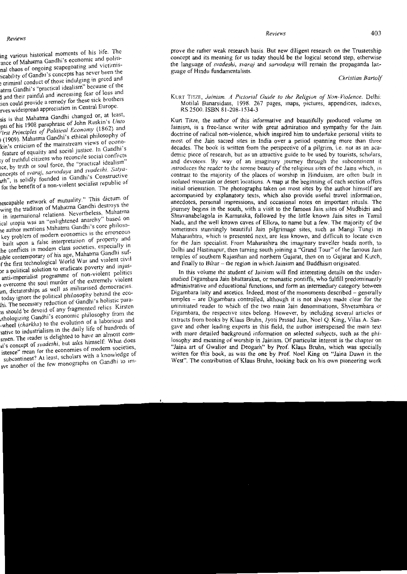Reviews

prove the rather weak research basis. But new diligent research on the Trusteeship concept and its meaning for us today should be the logical second step, otherwise the language of *svadeshi, svarai* and *sarvodaya* will remain the propaganda language of Hindu fundamentalists.

Christian Bartolf

KURT TITZE, Jainism. A Pictorial Guide to the Religion of Non-Violence. Delhi: Motilal Banarsidass, 1998. 267 pages, maps, pictures, appendices, indexes, RS 2500. ISBN 81-208-1534-3

Kurt Titze, the author of this informative and beautifully produced volume on Jainism, is a free-lance writer with great admiration and sympathy for the Jain doctrine of radical non-violence, which inspired him to undertake personal visits to most of the Jain sacred sites in India over a period spanning more than three decades. The book is written from the perspective of a pilgrim, i.e. not as an academic piece of research, but as an attractive guide to be used by tourists, scholars, and devotees. By way of an imaginary journey through the subcontinent it introduces the reader to the serene beauty of the religious sites of the Jains which, in contrast to the majority of the places of worship in Hinduism, are often built in isolated mountain or desert locations. A map at the beginning of each section offers initial orientation. The photographs taken on most sites by the author himself are accompanied by explanatory texts, which also provide useful travel information, anecdotes, personal impressions, and occasional notes on important rituals. The journey begins in the south, with a visit to the famous Jain sites of Mudbidri and Shravanabelagola in Karnataka, followed by the little known Jain sites in Tamil Nadu, and the well known caves of Ellora, to name but a few. The majority of the sometimes stunningly beautiful Jain pilgrimage sites, such as Mangi Tungi in Maharashtra, which is presented next, are less known, and difficult to locate even for the Jain specialist. From Maharashtra the imaginary traveller heads north, to Delhi and Hastinapur, then turning south joining a "Grand Tour" of the famous Jain temples of southern Rajasthan and northern Gujarat, then on to Gujarat and Kutch, and finally to Bihar -- the region in which Jainism and Buddhism originated.

In this volume the student of Jainism will find interesting details on the understudied Digambara Jain bhattarakas, or monastic pontiffs, who fulfill predominantly administrative and educational functions, and form an intermediary category between Digambara laity and ascetics. Indeed, most of the monuments described – generally temples – are Digambara controlled, although it is not always made clear for the uninitiated reader to which of the two main Jain denominations. Shvetambara or Digambara, the respective sites belong. However, by including several articles or extracts from books by Klaus Bruhn, Jyoti Prasad Jain, Noel O. King, Vilas A. Sangave and other leading experts in this field, the author interspersed the main text with more detailed background information on selected subjects, such as the philosophy and meaning of worship in Jainism. Of particular interest is the chapter on "Jaina art of Gwalior and Deogarh" by Prof. Klaus Bruhn, which was specially written for this book, as was the one by Prof. Noel King on "Jaina Dawn in the West". The contribution of Klaus Bruhn, looking back on his own pioneering work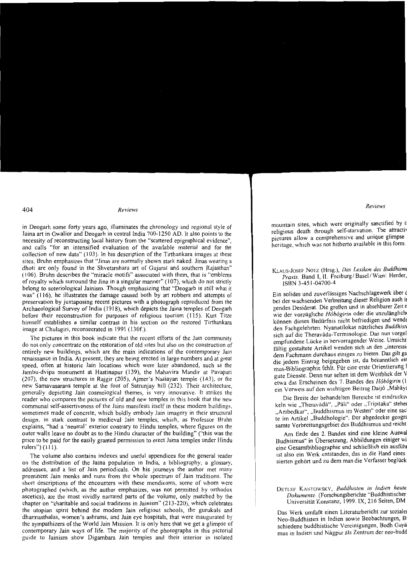## Reviews

in Deogarh some forty years ago, illuminates the chronology and regional style of Jaina art in Gwalior and Deogarh in central India 700-1250 AD. It also points to the necessity of reconstructing local history from the "scattered epigraphical evidence", and calls "for an intensified evaluation of the available material and for the collection of new data" (103). In his description of the Tirthankara images at these sites, Bruhn emphasizes that "Jinas are normally shown stark naked. Jinas wearing a dhoti are only found in the Shyetambara art of Guiarat and southern Rajasthan" (106). Bruhn describes the "miracle motifs" associated with them, that is "emblems" of royalty which surround the Jina in a singular manner" (107), which do not strictly belong to soteriological Jainism. Though emphasizing that "Deogarh is still what it was" (116), he illustrates the damage caused both by art robbers and attempts of preservation by juxtaposing recent pictures with a photograph reproduced from the Archaeological Survey of India (1918), which depicts the Jaina temples of Deogarh before their reconstruction for purposes of religious tourism (115). Kurt Titze himself establishes a similar contrast in his section on the restored Tirthankara image at Chulagiri, reconsecrated in 1991 (130f.).

The pictures in this book indicate that the recent efforts of the Jain community do not only concentrate on the restoration of old sites but also on the construction of entirely new buildings, which are the main indications of the contemporary Jain renaissance in India. At present, they are being erected in large numbers and at great speed, often at historic Jain locations which were later abandoned, such as the Jambu-dvipa monument at Hastinapur (139), the Mahavira Mandir at Pavapuri (207), the new structures in Rajgir (205), Ajmer's Nasiayan temple (143), or the new Samavasarana temple at the foot of Satruniav hill (232). Their architecture, generally depicting Jain cosmological themes, is very innovative. It strikes the reader who compares the pictures of old and new temples in this book that the new communal self-assertiveness of the Jains manifests itself in these modern buildings. sometimes made of concrete, which boldly embody Jain imagery in their structural design; in stark contrast to medieval Jain temples, which, as Professor Bruhn explains, "had a 'neutral' exterior contrary to Hindu temples, where figures on the outer walls leave no doubt as to the Hindu character of the building" ("this was the price to be paid for the easily granted permission to erect Jaina temples under Hindu rulers") (111).

The volume also contains indexes and useful appendices for the general reader on the distribution of the Jaina population in India, a bibliography, a glossary, addresses, and a list of Jain periodicals. On his journeys the author met many prominent Jain monks and nuns from the whole spectrum of Jain traditions. The short descriptions of the encounters with these mendicants, some of whom were photographed (which, as the author emphasizes, was not permitted by orthodox ascetics), are the most vividly narrated parts of the volume, only matched by the chapter on "charitable and social traditions in Jainism" (213-220), which celebrates the utopian spirit behind the modern Jain religious schools, the gurukuls and dharmasthalas, women's ashrams, and Jain eye hospitals, that were inaugurated by the sympathizers of the World Jain Mission. It is only here that we get a glimpse of contemporary Jain ways of life. The majority of the photographs in this pictorial guide to Jainism show Digambara Jain temples and their interior in isolated